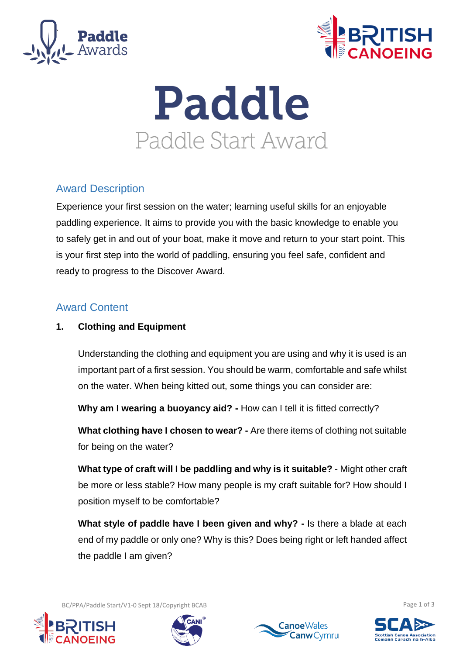



# Paddle Paddle Start Award

# Award Description

Experience your first session on the water; learning useful skills for an enjoyable paddling experience. It aims to provide you with the basic knowledge to enable you to safely get in and out of your boat, make it move and return to your start point. This is your first step into the world of paddling, ensuring you feel safe, confident and ready to progress to the Discover Award.

## Award Content

## **1. Clothing and Equipment**

Understanding the clothing and equipment you are using and why it is used is an important part of a first session. You should be warm, comfortable and safe whilst on the water. When being kitted out, some things you can consider are:

**Why am I wearing a buoyancy aid? -** How can I tell it is fitted correctly?

**What clothing have I chosen to wear? -** Are there items of clothing not suitable for being on the water?

**What type of craft will I be paddling and why is it suitable?** - Might other craft be more or less stable? How many people is my craft suitable for? How should I position myself to be comfortable?

**What style of paddle have I been given and why? -** Is there a blade at each end of my paddle or only one? Why is this? Does being right or left handed affect the paddle I am given?

BC/PPA/Paddle Start/V1-0 Sept 18/Copyright BCAB **Page 1 of 3** and 2011 11:00 and 2012 12:00 page 1 of 3







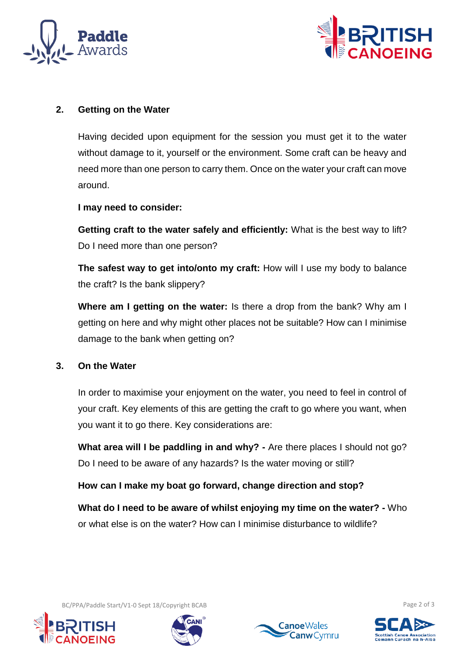



#### **2. Getting on the Water**

Having decided upon equipment for the session you must get it to the water without damage to it, yourself or the environment. Some craft can be heavy and need more than one person to carry them. Once on the water your craft can move around.

**I may need to consider:** 

**Getting craft to the water safely and efficiently:** What is the best way to lift? Do I need more than one person?

**The safest way to get into/onto my craft:** How will I use my body to balance the craft? Is the bank slippery?

**Where am I getting on the water:** Is there a drop from the bank? Why am I getting on here and why might other places not be suitable? How can I minimise damage to the bank when getting on?

#### **3. On the Water**

In order to maximise your enjoyment on the water, you need to feel in control of your craft. Key elements of this are getting the craft to go where you want, when you want it to go there. Key considerations are:

**What area will I be paddling in and why?** - Are there places I should not go? Do I need to be aware of any hazards? Is the water moving or still?

**How can I make my boat go forward, change direction and stop?** 

**What do I need to be aware of whilst enjoying my time on the water? -** Who or what else is on the water? How can I minimise disturbance to wildlife?







BC/PPA/Paddle Start/V1-0 Sept 18/Copyright BCAB Page 2 of 3